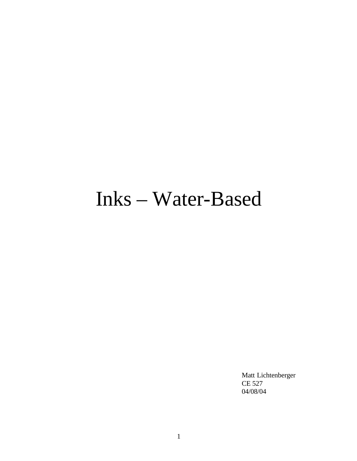# Inks – Water-Based

Matt Lichtenberger CE 527 04/08/04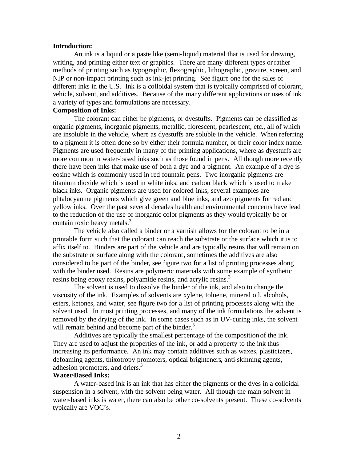#### **Introduction:**

An ink is a liquid or a paste like (semi-liquid) material that is used for drawing, writing, and printing either text or graphics. There are many different types or rather methods of printing such as typographic, flexographic, lithographic, gravure, screen, and NIP or non-impact printing such as ink-jet printing. See figure one for the sales of different inks in the U.S. Ink is a colloidal system that is typically comprised of colorant, vehicle, solvent, and additives. Because of the many different applications or uses of ink a variety of types and formulations are necessary.

#### **Composition of Inks:**

The colorant can either be pigments, or dyestuffs. Pigments can be classified as organic pigments, inorganic pigments, metallic, florescent, pearlescent, etc., all of which are insoluble in the vehicle, where as dyestuffs are soluble in the vehicle. When referring to a pigment it is often done so by either their formula number, or their color index name. Pigments are used frequently in many of the printing applications, where as dyestuffs are more common in water-based inks such as those found in pens. All though more recently there have been inks that make use of both a dye and a pigment. An example of a dye is eosine which is commonly used in red fountain pens. Two inorganic pigments are titanium dioxide which is used in white inks, and carbon black which is used to make black inks. Organic pigments are used for colored inks; several examples are phtalocyanine pigments which give green and blue inks, and azo pigments for red and yellow inks. Over the past several decades health and environmental concerns have lead to the reduction of the use of inorganic color pigments as they would typically be or contain toxic heavy metals.<sup>3</sup>

The vehicle also called a binder or a varnish allows for the colorant to be in a printable form such that the colorant can reach the substrate or the surface which it is to affix itself to. Binders are part of the vehicle and are typically resins that will remain on the substrate or surface along with the colorant, sometimes the additives are also considered to be part of the binder, see figure two for a list of printing processes along with the binder used. Resins are polymeric materials with some example of synthetic resins being epoxy resins, polyamide resins, and acrylic resins.<sup>3</sup>

The solvent is used to dissolve the binder of the ink, and also to change the viscosity of the ink. Examples of solvents are xylene, toluene, mineral oil, alcohols, esters, ketones, and water, see figure two for a list of printing processes along with the solvent used. In most printing processes, and many of the ink formulations the solvent is removed by the drying of the ink. In some cases such as in UV-curing inks, the solvent will remain behind and become part of the binder.<sup>3</sup>

Additives are typically the smallest percentage of the composition of the ink. They are used to adjust the properties of the ink, or add a property to the ink thus increasing its performance. An ink may contain additives such as waxes, plasticizers, defoaming agents, thixotropy promoters, optical brighteners, anti-skinning agents, adhesion promoters, and driers.<sup>3</sup>

#### **Water-Based Inks:**

A water-based ink is an ink that has either the pigments or the dyes in a colloidal suspension in a solvent, with the solvent being water. All though the main solvent in water-based inks is water, there can also be other co-solvents present. These co-solvents typically are VOC's.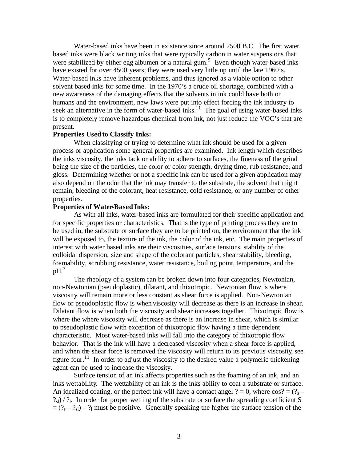Water-based inks have been in existence since around 2500 B.C. The first water based inks were black writing inks that were typically carbon in water suspensions that were stabilized by either egg albumen or a natural gum.<sup>5</sup> Even though water-based inks have existed for over 4500 years; they were used very little up until the late 1960's. Water-based inks have inherent problems, and thus ignored as a viable option to other solvent based inks for some time. In the 1970's a crude oil shortage, combined with a new awareness of the damaging effects that the solvents in ink could have both on humans and the environment, new laws were put into effect forcing the ink industry to seek an alternative in the form of water-based inks.<sup>11</sup> The goal of using water-based inks is to completely remove hazardous chemical from ink, not just reduce the VOC's that are present.

#### **Properties Used to Classify Inks:**

When classifying or trying to determine what ink should be used for a given process or application some general properties are examined. Ink length which describes the inks viscosity, the inks tack or ability to adhere to surfaces, the fineness of the grind being the size of the particles, the color or color strength, drying time, rub resistance, and gloss. Determining whether or not a specific ink can be used for a given application may also depend on the odor that the ink may transfer to the substrate, the solvent that might remain, bleeding of the colorant, heat resistance, cold resistance, or any number of other properties.

#### **Properties of Water-Based Inks:**

As with all inks, water-based inks are formulated for their specific application and for specific properties or characteristics. That is the type of printing process they are to be used in, the substrate or surface they are to be printed on, the environment that the ink will be exposed to, the texture of the ink, the color of the ink, etc. The main properties of interest with water based inks are their viscosities, surface tensions, stability of the colloidal dispersion, size and shape of the colorant particles, shear stability, bleeding, foamability, scrubbing resistance, water resistance, boiling point, temperature, and the  $pH<sup>3</sup>$ 

The rheology of a system can be broken down into four categories, Newtonian, non-Newtonian (pseudoplastic), dilatant, and thixotropic. Newtonian flow is where viscosity will remain more or less constant as shear force is applied. Non-Newtonian flow or pseudoplastic flow is when viscosity will decrease as there is an increase in shear. Dilatant flow is when both the viscosity and shear increases together. Thixotropic flow is where the where viscosity will decrease as there is an increase in shear, which is similar to pseudoplastic flow with exception of thixotropic flow having a time dependent characteristic. Most water-based inks will fall into the category of thixotropic flow behavior. That is the ink will have a decreased viscosity when a shear force is applied, and when the shear force is removed the viscosity will return to its previous viscosity, see figure four.<sup>11</sup> In order to adjust the viscosity to the desired value a polymeric thickening agent can be used to increase the viscosity.

Surface tension of an ink affects properties such as the foaming of an ink, and an inks wettability. The wettability of an ink is the inks ability to coat a substrate or surface. An idealized coating, or the perfect ink will have a contact angel ? = 0, where  $\cos$ ? = (?<sub>s</sub> –  $?_{\rm sl}$ ) / ?<sub>l</sub>. In order for proper wetting of the substrate or surface the spreading coefficient S  $=(?_{s} - ?_{sl}) - ?_{l}$  must be positive. Generally speaking the higher the surface tension of the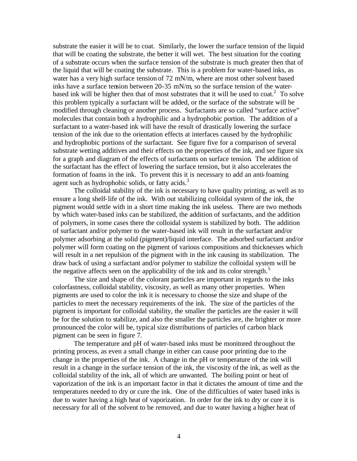substrate the easier it will be to coat. Similarly, the lower the surface tension of the liquid that will be coating the substrate, the better it will wet. The best situation for the coating of a substrate occurs when the surface tension of the substrate is much greater then that of the liquid that will be coating the substrate. This is a problem for water-based inks, as water has a very high surface tension of 72 mN/m, where are most other solvent based inks have a surface tension between 20-35 mN/m, so the surface tension of the waterbased ink will be higher then that of most substrates that it will be used to coat.<sup>2</sup> To solve this problem typically a surfactant will be added, or the surface of the substrate will be modified through cleaning or another process. Surfactants are so called "surface active" molecules that contain both a hydrophilic and a hydrophobic portion. The addition of a surfactant to a water-based ink will have the result of drastically lowering the surface tension of the ink due to the orientation effects at interfaces caused by the hydrophilic and hydrophobic portions of the surfactant. See figure five for a comparison of several substrate wetting additives and their effects on the properties of the ink, and see figure six for a graph and diagram of the effects of surfactants on surface tension. The addition of the surfactant has the effect of lowering the surface tension, but it also accelerates the formation of foams in the ink. To prevent this it is necessary to add an anti-foaming agent such as hydrophobic solids, or fatty acids. $3$ 

The colloidal stability of the ink is necessary to have quality printing, as well as to ensure a long shelf-life of the ink. With out stabilizing colloidal system of the ink, the pigment would settle with in a short time making the ink useless. There are two methods by which water-based inks can be stabilized, the addition of surfactants, and the addition of polymers, in some cases there the colloidal system is stabilized by both. The addition of surfactant and/or polymer to the water-based ink will result in the surfactant and/or polymer adsorbing at the solid (pigment)/liquid interface. The adsorbed surfactant and/or polymer will form coating on the pigment of various compositions and thicknesses which will result in a net repulsion of the pigment with in the ink causing its stabilization. The draw back of using a surfactant and/or polymer to stabilize the colloidal system will be the negative affects seen on the applicability of the ink and its color strength.<sup>5</sup>

The size and shape of the colorant particles are important in regards to the inks colorfastness, colloidal stability, viscosity, as well as many other properties. When pigments are used to color the ink it is necessary to choose the size and shape of the particles to meet the necessary requirements of the ink. The size of the particles of the pigment is important for colloidal stability, the smaller the particles are the easier it will be for the solution to stabilize, and also the smaller the particles are, the brighter or more pronounced the color will be, typical size distributions of particles of carbon black pigment can be seen in figure 7.

The temperature and pH of water-based inks must be monitored throughout the printing process, as even a small change in either can cause poor printing due to the change in the properties of the ink. A change in the pH or temperature of the ink will result in a change in the surface tension of the ink, the viscosity of the ink, as well as the colloidal stability of the ink, all of which are unwanted. The boiling point or heat of vaporization of the ink is an important factor in that it dictates the amount of time and the temperatures needed to dry or cure the ink. One of the difficulties of water based inks is due to water having a high heat of vaporization. In order for the ink to dry or cure it is necessary for all of the solvent to be removed, and due to water having a higher heat of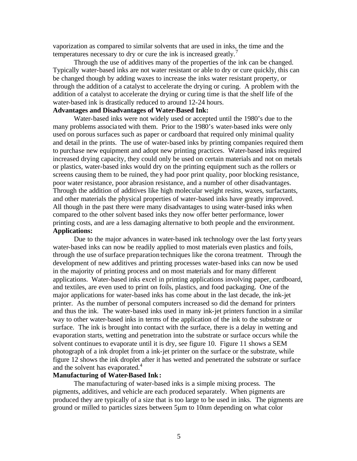vaporization as compared to similar solvents that are used in inks, the time and the temperatures necessary to dry or cure the ink is increased greatly.<sup>7</sup>

Through the use of additives many of the properties of the ink can be changed. Typically water-based inks are not water resistant or able to dry or cure quickly, this can be changed though by adding waxes to increase the inks water resistant property, or through the addition of a catalyst to accelerate the drying or curing. A problem with the addition of a catalyst to accelerate the drying or curing time is that the shelf life of the water-based ink is drastically reduced to around 12-24 hours.

#### **Advantages and Disadvantages of Water-Based Ink:**

Water-based inks were not widely used or accepted until the 1980's due to the many problems associa ted with them. Prior to the 1980's water-based inks were only used on porous surfaces such as paper or cardboard that required only minimal quality and detail in the prints. The use of water-based inks by printing companies required them to purchase new equipment and adopt new printing practices. Water-based inks required increased drying capacity, they could only be used on certain materials and not on metals or plastics, water-based inks would dry on the printing equipment such as the rollers or screens causing them to be ruined, they had poor print quality, poor blocking resistance, poor water resistance, poor abrasion resistance, and a number of other disadvantages. Through the addition of additives like high molecular weight resins, waxes, surfactants, and other materials the physical properties of water-based inks have greatly improved. All though in the past there were many disadvantages to using water-based inks when compared to the other solvent based inks they now offer better performance, lower printing costs, and are a less damaging alternative to both people and the environment. **Applications:** 

Due to the major advances in water-based ink technology over the last forty years water-based inks can now be readily applied to most materials even plastics and foils, through the use of surface preparation techniques like the corona treatment. Through the development of new additives and printing processes water-based inks can now be used in the majority of printing process and on most materials and for many different applications. Water-based inks excel in printing applications involving paper, cardboard, and textiles, are even used to print on foils, plastics, and food packaging. One of the major applications for water-based inks has come about in the last decade, the ink-jet printer. As the number of personal computers increased so did the demand for printers and thus the ink. The water-based inks used in many ink-jet printers function in a similar way to other water-based inks in terms of the application of the ink to the substrate or surface. The ink is brought into contact with the surface, there is a delay in wetting and evaporation starts, wetting and penetration into the substrate or surface occurs while the solvent continues to evaporate until it is dry, see figure 10. Figure 11 shows a SEM photograph of a ink droplet from a ink-jet printer on the surface or the substrate, while figure 12 shows the ink droplet after it has wetted and penetrated the substrate or surface and the solvent has evaporated.<sup>4</sup>

#### **Manufacturing of Water-Based Ink:**

The manufacturing of water-based inks is a simple mixing process. The pigments, additives, and vehicle are each produced separately. When pigments are produced they are typically of a size that is too large to be used in inks. The pigments are ground or milled to particles sizes between 5µm to 10nm depending on what color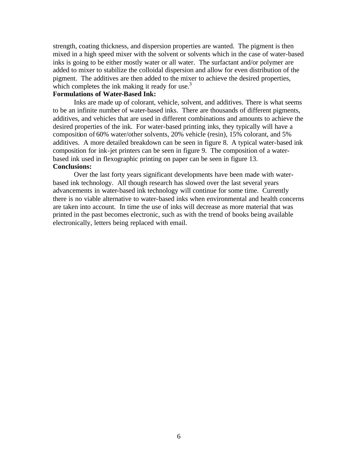strength, coating thickness, and dispersion properties are wanted. The pigment is then mixed in a high speed mixer with the solvent or solvents which in the case of water-based inks is going to be either mostly water or all water. The surfactant and/or polymer are added to mixer to stabilize the colloidal dispersion and allow for even distribution of the pigment. The additives are then added to the mixer to achieve the desired properties, which completes the ink making it ready for use. $3$ 

#### **Formulations of Water-Based Ink:**

Inks are made up of colorant, vehicle, solvent, and additives. There is what seems to be an infinite number of water-based inks. There are thousands of different pigments, additives, and vehicles that are used in different combinations and amounts to achieve the desired properties of the ink. For water-based printing inks, they typically will have a composition of 60% water/other solvents, 20% vehicle (resin), 15% colorant, and 5% additives. A more detailed breakdown can be seen in figure 8. A typical water-based ink composition for ink-jet printers can be seen in figure 9. The composition of a waterbased ink used in flexographic printing on paper can be seen in figure 13. **Conclusions:**

Over the last forty years significant developments have been made with waterbased ink technology. All though research has slowed over the last several years advancements in water-based ink technology will continue for some time. Currently there is no viable alternative to water-based inks when environmental and health concerns are taken into account. In time the use of inks will decrease as more material that was printed in the past becomes electronic, such as with the trend of books being available electronically, letters being replaced with email.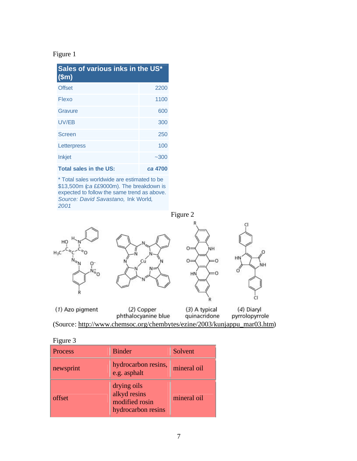### Figure 1

| Sales of various inks in the US*<br>\$m\$ |         |  |
|-------------------------------------------|---------|--|
| <b>Offset</b>                             | 2200    |  |
| Flexo                                     | 1100    |  |
| Gravure                                   | 600     |  |
| UV/EB                                     | 300     |  |
| <b>Screen</b>                             | 250     |  |
| Letterpress                               | 100     |  |
| <b>Inkjet</b>                             | $-300$  |  |
| <b>Total sales in the US:</b>             | ca 4700 |  |

\* Total sales worldwide are estimated to be \$13,500m (*ca* ££9000m). The breakdown is expected to follow the same trend as above. *Source: David Savastano,* Ink World*, 2001*

Figure 2



#### Figure 3

| <b>Process</b> | <b>Binder</b>                                                       | Solvent     |
|----------------|---------------------------------------------------------------------|-------------|
| newsprint      | hydrocarbon resins,<br>e.g. asphalt                                 | mineral oil |
| offset         | drying oils<br>alkyd resins<br>modified rosin<br>hydrocarbon resins | mineral oil |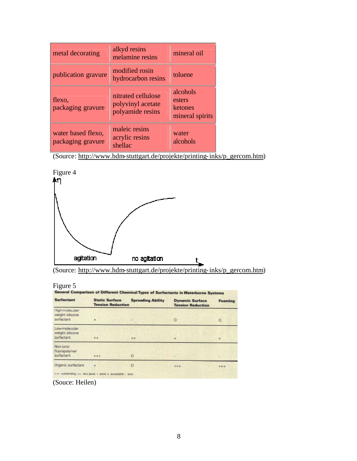| metal decorating                        | alkyd resins<br>melamine resins                             | mineral oil                                      |
|-----------------------------------------|-------------------------------------------------------------|--------------------------------------------------|
| publication gravure                     | modified rosin<br>hydrocarbon resins                        | toluene                                          |
| flexo,<br>packaging gravure             | nitrated cellulose<br>polyvinyl acetate<br>polyamide resins | alcohols<br>esters<br>ketones<br>mineral spirits |
| water based flexo,<br>packaging gravure | maleic resins<br>acrylic resins<br>shellac                  | water<br>alcohols                                |

(Source: http://www.hdm-stuttgart.de/projekte/printing-inks/p\_gercom.htm)



| (Source: http://www.hdm-stuttgart.de/projekte/printing-inks/p_gercom.htm) |  |  |  |  |  |  |
|---------------------------------------------------------------------------|--|--|--|--|--|--|
|---------------------------------------------------------------------------|--|--|--|--|--|--|

# Figure 5

| <b>Surfactant</b>                                | <b>Static Surface</b><br><b>Tension Reduction</b> | <b>Spreading Ability</b> | <b>Dynamic Surface</b><br><b>Tension Reduction</b> | <b>Foaming</b> |
|--------------------------------------------------|---------------------------------------------------|--------------------------|----------------------------------------------------|----------------|
| High-molecular<br>weight silicane.<br>surfactant | ÷                                                 |                          | $\circ$                                            | $\circ$        |
| Low-molecular-<br>weight silicone<br>surfactant  | $+ +$                                             | $++$                     | 4                                                  | $+$            |
| Non-ionic<br>flüoropolymer<br>surfactant         | $+66$                                             | $\circ$                  |                                                    |                |
| Organic surfactant                               |                                                   | $\circ$                  | $+++$                                              | ***            |

(Souce: Heilen)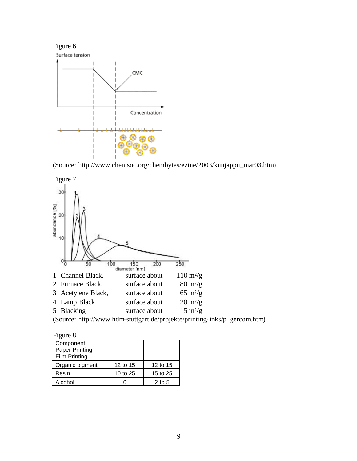

(Source: http://www.chemsoc.org/chembytes/ezine/2003/kunjappu\_mar03.htm)



(Source: http://www.hdm-stuttgart.de/projekte/printing-inks/p\_gercom.htm)

| онг |  |
|-----|--|
|-----|--|

| Component             |          |          |
|-----------------------|----------|----------|
| <b>Paper Printing</b> |          |          |
| Film Printing         |          |          |
| Organic pigment       | 12 to 15 | 12 to 15 |
| Resin                 | 10 to 25 | 15 to 25 |
| Alcohol               |          | $2$ to 5 |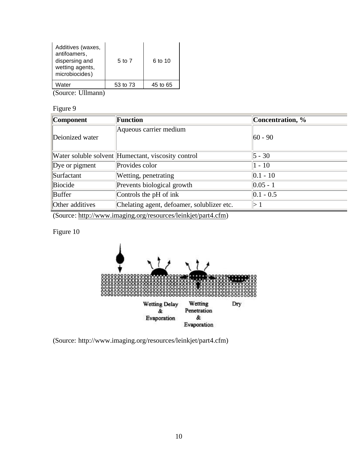| Additives (waxes,<br>antifoamers,<br>dispersing and<br>wetting agents,<br>microbiocides) | 5 to 7   | 6 to 10  |
|------------------------------------------------------------------------------------------|----------|----------|
| Water                                                                                    | 53 to 73 | 45 to 65 |

(Source: Ullmann)

#### Figure 9

| <b>Component</b> | Function                                           | Concentration, % |
|------------------|----------------------------------------------------|------------------|
| Deionized water  | Aqueous carrier medium                             | $ 60 - 90 $      |
|                  | Water soluble solvent Humectant, viscosity control | $5 - 30$         |
| Dye or pigment   | Provides color                                     | $ 1 - 10 $       |
| Surfactant       | Wetting, penetrating                               | $ 0.1 - 10$      |
| Biocide          | Prevents biological growth                         | $ 0.05 - 1 $     |
| Buffer           | Controls the pH of ink                             | $ 0.1 - 0.5 $    |
| Other additives  | Chelating agent, defoamer, solublizer etc.         |                  |

(Source: http://www.imaging.org/resources/leinkjet/part4.cfm)

# Figure 10



(Source: http://www.imaging.org/resources/leinkjet/part4.cfm)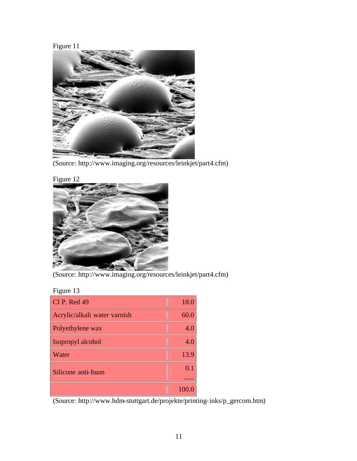Figure 11



(Source: http://www.imaging.org/resources/leinkjet/part4.cfm)



(Source: http://www.imaging.org/resources/leinkjet/part4.cfm)

| триге |  |
|-------|--|
|-------|--|

| $CI$ P. Red 49               | 18.0 |
|------------------------------|------|
| Acrylic/alkali water varnish | 60.0 |
| Polyethylene wax             | 4.0  |
| Isopropyl alcohol            | 4.0  |
| Water                        | 13.9 |
| Silicone anti-foam           | 0.1  |
|                              |      |
|                              |      |

(Source: http://www.hdm-stuttgart.de/projekte/printing-inks/p\_gercom.htm)